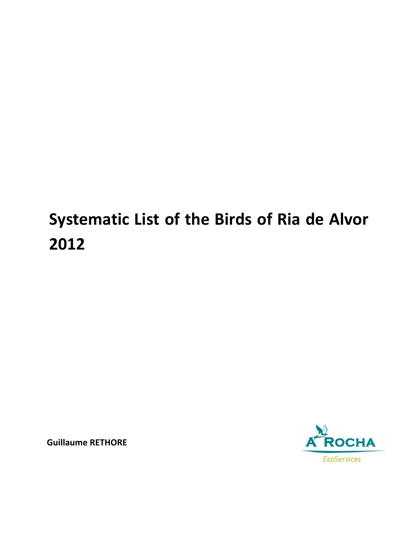## **Systematic List of the Birds of Ria de Alvor 2012**

**Guillaume RETHORE**

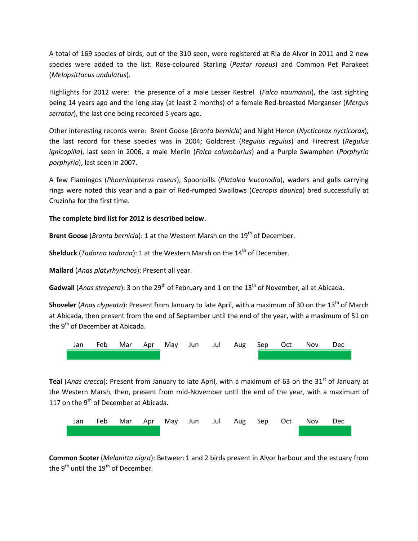A total of 169 species of birds, out of the 310 seen, were registered at Ria de Alvor in 2011 and 2 new species were added to the list: Rose-coloured Starling (*Pastor roseus*) and Common Pet Parakeet (*Melopsittacus undulatus*).

Highlights for 2012 were: the presence of a male Lesser Kestrel (*Falco naumanni*), the last sighting being 14 years ago and the long stay (at least 2 months) of a female Red-breasted Merganser (*Mergus serrator*), the last one being recorded 5 years ago.

Other interesting records were: Brent Goose (*Branta bernicla*) and Night Heron (*Nycticorax nycticorax*), the last record for these species was in 2004; Goldcrest (*Regulus regulus*) and Firecrest (*Regulus ignicapilla*), last seen in 2006, a male Merlin (*Falco columbarius*) and a Purple Swamphen (*Porphyrio porphyrio*), last seen in 2007.

A few Flamingos (*Phoenicopterus roseus*), Spoonbills (*Platalea leucorodia*), waders and gulls carrying rings were noted this year and a pair of Red-rumped Swallows (*Cecropis daurica*) bred successfully at Cruzinha for the first time.

## **The complete bird list for 2012 is described below.**

**Brent Goose** (*Branta bernicla*): 1 at the Western Marsh on the 19<sup>th</sup> of December.

**Shelduck** (*Tadorna tadorna*): 1 at the Western Marsh on the 14<sup>th</sup> of December.

**Mallard** (*Anas platyrhynchos*): Present all year.

Gadwall (*Anas strepera*): 3 on the 29<sup>th</sup> of February and 1 on the 13<sup>th</sup> of November, all at Abicada.

Shoveler (*Anas clypeata*): Present from January to late April, with a maximum of 30 on the 13<sup>th</sup> of March at Abicada, then present from the end of September until the end of the year, with a maximum of 51 on the  $9<sup>th</sup>$  of December at Abicada.



**Teal** (*Anas crecca*): Present from January to late April, with a maximum of 63 on the 31<sup>st</sup> of January at the Western Marsh, then, present from mid-November until the end of the year, with a maximum of 117 on the  $9<sup>th</sup>$  of December at Abicada.



**Common Scoter** (*Melanitta nigra*): Between 1 and 2 birds present in Alvor harbour and the estuary from the  $9^{th}$  until the  $19^{th}$  of December.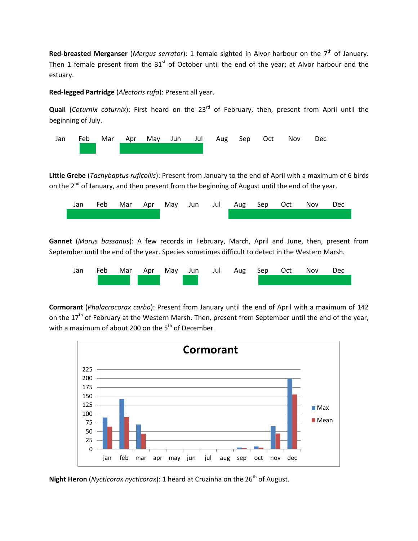**Red-breasted Merganser** (*Mergus serrator*): 1 female sighted in Alvor harbour on the 7<sup>th</sup> of January. Then 1 female present from the  $31<sup>st</sup>$  of October until the end of the year; at Alvor harbour and the estuary.

**Red-legged Partridge** (*Alectoris rufa*): Present all year.

**Quail** (*Coturnix coturnix*): First heard on the 23<sup>rd</sup> of February, then, present from April until the beginning of July.



**Little Grebe** (*Tachybaptus ruficollis*): Present from January to the end of April with a maximum of 6 birds on the 2<sup>nd</sup> of January, and then present from the beginning of August until the end of the year.



**Gannet** (*Morus bassanus*): A few records in February, March, April and June, then, present from September until the end of the year. Species sometimes difficult to detect in the Western Marsh.



**Cormorant** (*Phalacrocorax carbo*): Present from January until the end of April with a maximum of 142 on the 17<sup>th</sup> of February at the Western Marsh. Then, present from September until the end of the year, with a maximum of about 200 on the  $5<sup>th</sup>$  of December.



**Night Heron** (*Nycticorax nycticorax*): 1 heard at Cruzinha on the 26<sup>th</sup> of August.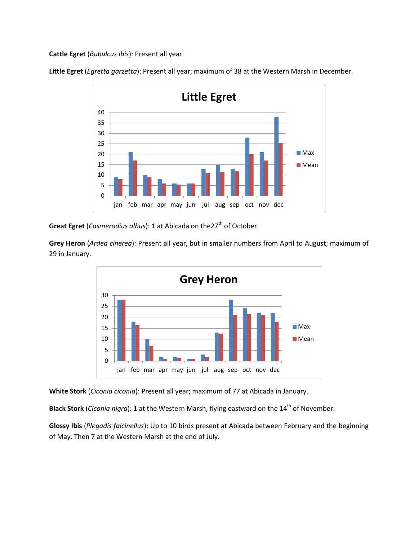**Cattle Egret** (*Bubulcus ibis*): Present all year.

**Little Egret** (*Egretta garzetta*): Present all year; maximum of 38 at the Western Marsh in December.



**Great Egret** (*Casmerodius albus*): 1 at Abicada on the 27<sup>th</sup> of October.

**Grey Heron** (*Ardea cinerea*): Present all year, but in smaller numbers from April to August; maximum of 29 in January.



**White Stork** (*Ciconia ciconia*): Present all year; maximum of 77 at Abicada in January.

**Black Stork** (*Ciconia nigra*): 1 at the Western Marsh, flying eastward on the 14<sup>th</sup> of November.

**Glossy Ibis** (*Plegadis falcinellus*): Up to 10 birds present at Abicada between February and the beginning of May. Then 7 at the Western Marsh at the end of July.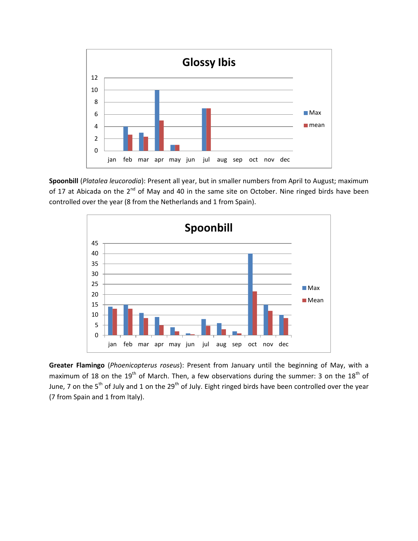

**Spoonbill** (*Platalea leucorodia*): Present all year, but in smaller numbers from April to August; maximum of 17 at Abicada on the  $2^{nd}$  of May and 40 in the same site on October. Nine ringed birds have been controlled over the year (8 from the Netherlands and 1 from Spain).



**Greater Flamingo** (*Phoenicopterus roseus*): Present from January until the beginning of May, with a maximum of 18 on the 19<sup>th</sup> of March. Then, a few observations during the summer: 3 on the 18<sup>th</sup> of June, 7 on the 5<sup>th</sup> of July and 1 on the 29<sup>th</sup> of July. Eight ringed birds have been controlled over the year (7 from Spain and 1 from Italy).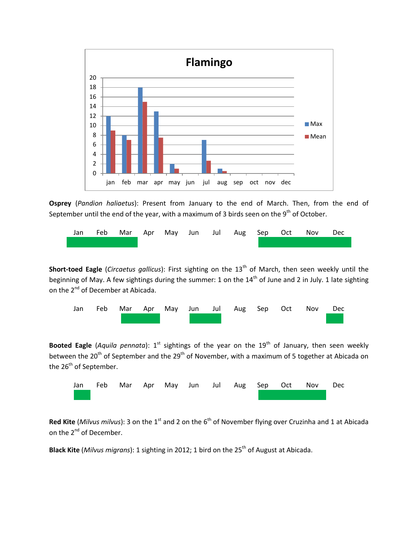

**Osprey** (*Pandion haliaetus*): Present from January to the end of March. Then, from the end of September until the end of the year, with a maximum of 3 birds seen on the  $9<sup>th</sup>$  of October.



**Short-toed Eagle** (*Circaetus gallicus*): First sighting on the 13<sup>th</sup> of March, then seen weekly until the beginning of May. A few sightings during the summer: 1 on the 14<sup>th</sup> of June and 2 in July. 1 late sighting on the 2<sup>nd</sup> of December at Abicada.



Booted Eagle (Aquila pennata): 1<sup>st</sup> sightings of the year on the 19<sup>th</sup> of January, then seen weekly between the 20<sup>th</sup> of September and the 29<sup>th</sup> of November, with a maximum of 5 together at Abicada on the 26<sup>th</sup> of September.



Red Kite (*Milvus milvus*): 3 on the 1<sup>st</sup> and 2 on the 6<sup>th</sup> of November flying over Cruzinha and 1 at Abicada on the 2<sup>nd</sup> of December.

Black Kite (Milvus migrans): 1 sighting in 2012; 1 bird on the 25<sup>th</sup> of August at Abicada.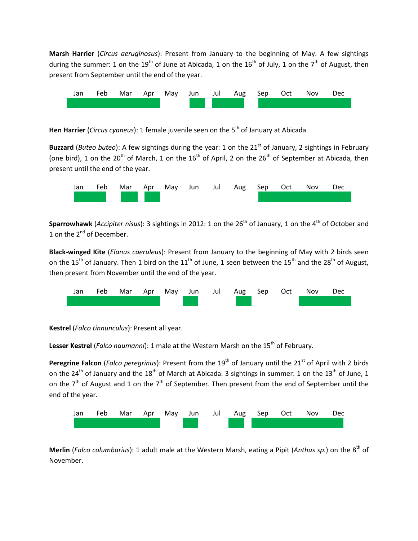**Marsh Harrier** (*Circus aeruginosus*): Present from January to the beginning of May. A few sightings during the summer: 1 on the 19<sup>th</sup> of June at Abicada, 1 on the 16<sup>th</sup> of July, 1 on the 7<sup>th</sup> of August, then present from September until the end of the year.



Hen Harrier (*Circus cyaneus*): 1 female juvenile seen on the 5<sup>th</sup> of January at Abicada

**Buzzard** (*Buteo buteo*): A few sightings during the year: 1 on the 21<sup>st</sup> of January, 2 sightings in February (one bird), 1 on the 20<sup>th</sup> of March, 1 on the 16<sup>th</sup> of April, 2 on the 26<sup>th</sup> of September at Abicada, then present until the end of the year.



Sparrowhawk (Accipiter nisus): 3 sightings in 2012: 1 on the 26<sup>th</sup> of January, 1 on the 4<sup>th</sup> of October and 1 on the 2<sup>nd</sup> of December.

**Black-winged Kite** (*Elanus caeruleus*): Present from January to the beginning of May with 2 birds seen on the 15<sup>th</sup> of January. Then 1 bird on the 11<sup>th</sup> of June, 1 seen between the 15<sup>th</sup> and the 28<sup>th</sup> of August, then present from November until the end of the year.



**Kestrel** (*Falco tinnunculus*): Present all year.

Lesser Kestrel (*Falco naumanni*): 1 male at the Western Marsh on the 15<sup>th</sup> of February.

**Peregrine Falcon** (*Falco peregrinus*): Present from the 19<sup>th</sup> of January until the 21<sup>st</sup> of April with 2 birds on the 24<sup>th</sup> of January and the 18<sup>th</sup> of March at Abicada. 3 sightings in summer: 1 on the 13<sup>th</sup> of June, 1 on the 7<sup>th</sup> of August and 1 on the 7<sup>th</sup> of September. Then present from the end of September until the end of the year.



**Merlin** (*Falco columbarius*): 1 adult male at the Western Marsh, eating a Pipit (Anthus sp.) on the 8<sup>th</sup> of November.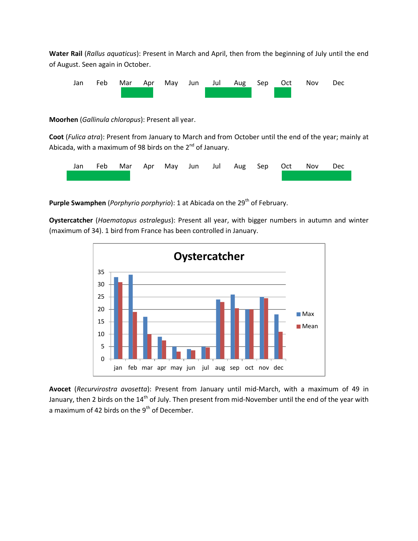**Water Rail** (*Rallus aquaticus*): Present in March and April, then from the beginning of July until the end of August. Seen again in October.



**Moorhen** (*Gallinula chloropus*): Present all year.

**Coot** (*Fulica atra*): Present from January to March and from October until the end of the year; mainly at Abicada, with a maximum of 98 birds on the  $2^{nd}$  of January.



**Purple Swamphen** *(Porphyrio porphyrio)*: 1 at Abicada on the 29<sup>th</sup> of February.

**Oystercatcher** (*Haematopus ostralegus*): Present all year, with bigger numbers in autumn and winter (maximum of 34). 1 bird from France has been controlled in January.



**Avocet** (*Recurvirostra avosetta*): Present from January until mid-March, with a maximum of 49 in January, then 2 birds on the 14<sup>th</sup> of July. Then present from mid-November until the end of the year with a maximum of 42 birds on the  $9<sup>th</sup>$  of December.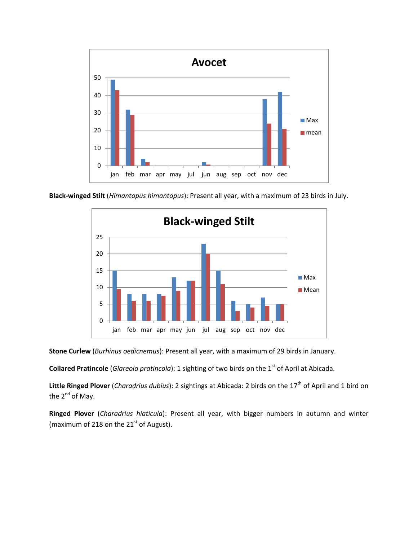

**Black-winged Stilt** (*Himantopus himantopus*): Present all year, with a maximum of 23 birds in July.



**Stone Curlew** (*Burhinus oedicnemus*): Present all year, with a maximum of 29 birds in January.

**Collared Pratincole** (*Glareola pratincola*): 1 sighting of two birds on the 1<sup>st</sup> of April at Abicada.

Little Ringed Plover (*Charadrius dubius*): 2 sightings at Abicada: 2 birds on the 17<sup>th</sup> of April and 1 bird on the  $2^{nd}$  of May.

**Ringed Plover** (*Charadrius hiaticula*): Present all year, with bigger numbers in autumn and winter (maximum of 218 on the  $21<sup>st</sup>$  of August).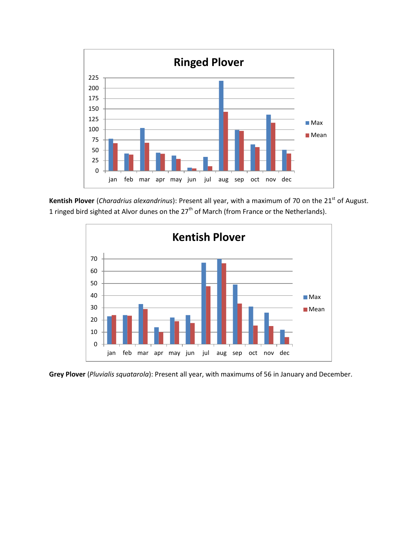

Kentish Plover (*Charadrius alexandrinus*): Present all year, with a maximum of 70 on the 21<sup>st</sup> of August. 1 ringed bird sighted at Alvor dunes on the 27<sup>th</sup> of March (from France or the Netherlands).



**Grey Plover** (*Pluvialis squatarola*): Present all year, with maximums of 56 in January and December.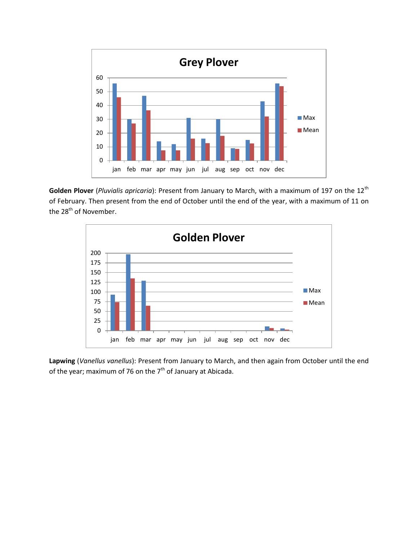

Golden Plover (*Pluvialis apricaria*): Present from January to March, with a maximum of 197 on the 12<sup>th</sup> of February. Then present from the end of October until the end of the year, with a maximum of 11 on the 28<sup>th</sup> of November.



**Lapwing** (*Vanellus vanellus*): Present from January to March, and then again from October until the end of the year; maximum of 76 on the  $7<sup>th</sup>$  of January at Abicada.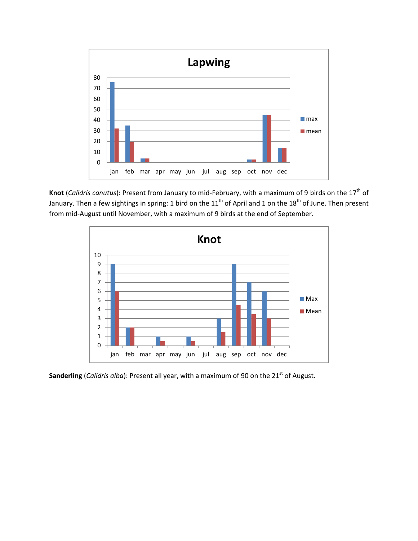

Knot (*Calidris canutus*): Present from January to mid-February, with a maximum of 9 birds on the 17<sup>th</sup> of January. Then a few sightings in spring: 1 bird on the  $11^{\text{th}}$  of April and 1 on the  $18^{\text{th}}$  of June. Then present from mid-August until November, with a maximum of 9 birds at the end of September.



Sanderling (*Calidris alba*): Present all year, with a maximum of 90 on the 21<sup>st</sup> of August.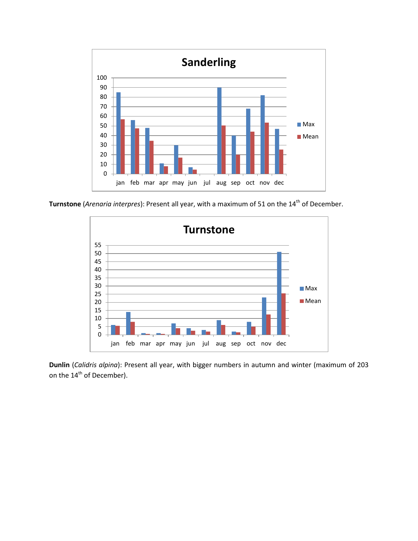

**Turnstone** (*Arenaria interpres*): Present all year, with a maximum of 51 on the 14<sup>th</sup> of December.



**Dunlin** (*Calidris alpina*): Present all year, with bigger numbers in autumn and winter (maximum of 203 on the 14<sup>th</sup> of December).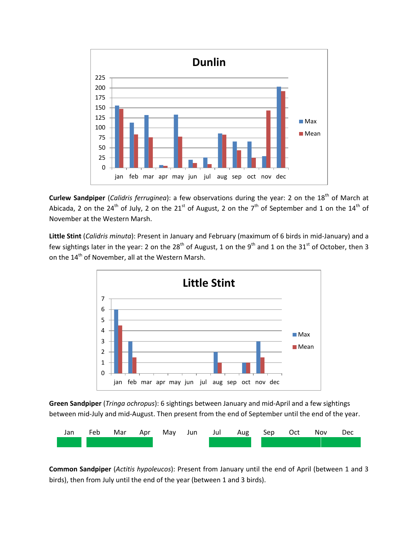

**Curlew Sandpiper** (*Calidris ferruginea*): a few observations during the year: 2 on the 18<sup>th</sup> of March at Abicada, 2 on the 24<sup>th</sup> of July, 2 on the 21<sup>st</sup> of August, 2 on the 7<sup>th</sup> of September and 1 on the 14<sup>th</sup> of November at the Western Marsh.

**Little Stint** (*Calidris minuta*): Present in January and February (maximum of 6 birds in mid-January) and a few sightings later in the year: 2 on the 28<sup>th</sup> of August, 1 on the 9<sup>th</sup> and 1 on the 31<sup>st</sup> of October, then 3 on the 14<sup>th</sup> of November, all at the Western Marsh.



**Green Sandpiper** (*Tringa ochropus*): 6 sightings between January and mid-April and a few sightings between mid-July and mid-August. Then present from the end of September until the end of the year.



**Common Sandpiper** (*Actitis hypoleucos*): Present from January until the end of April (between 1 and 3 birds), then from July until the end of the year (between 1 and 3 birds).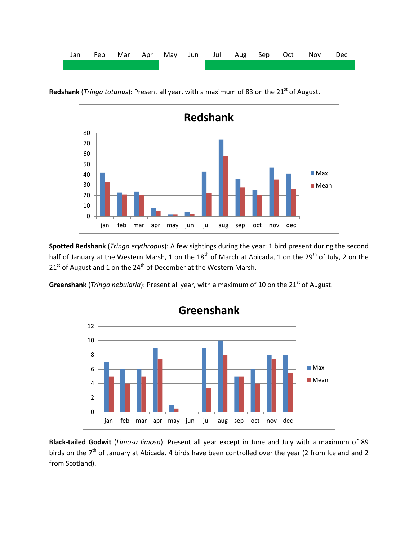

0 10 20 30 40 50 60 70 80 jan feb mar apr may jun jul aug sep oct nov dec **Redshank** ■ Max **Mean** 

Redshank (*Tringa totanus*): Present all year, with a maximum of 83 on the 21<sup>st</sup> of August.

**Spotted Redshank** (*Tringa erythropus*): A few sightings during the year: 1 bird present during the second half of January at the Western Marsh, 1 on the 18<sup>th</sup> of March at Abicada, 1 on the 29<sup>th</sup> of July, 2 on the  $21<sup>st</sup>$  of August and 1 on the  $24<sup>th</sup>$  of December at the Western Marsh.

Greenshank (*Tringa nebularia*): Present all year, with a maximum of 10 on the 21<sup>st</sup> of August.



**Black-tailed Godwit** (*Limosa limosa*): Present all year except in June and July with a maximum of 89 birds on the  $7<sup>th</sup>$  of January at Abicada. 4 birds have been controlled over the year (2 from Iceland and 2 from Scotland).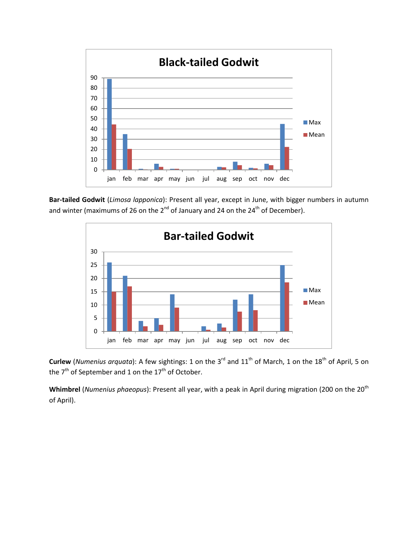

**Bar-tailed Godwit** (*Limosa lapponica*): Present all year, except in June, with bigger numbers in autumn and winter (maximums of 26 on the 2<sup>nd</sup> of January and 24 on the 24<sup>th</sup> of December).



**Curlew** (*Numenius arquata*): A few sightings: 1 on the 3<sup>rd</sup> and 11<sup>th</sup> of March, 1 on the 18<sup>th</sup> of April, 5 on the 7<sup>th</sup> of September and 1 on the 17<sup>th</sup> of October.

Whimbrel (*Numenius phaeopus*): Present all year, with a peak in April during migration (200 on the 20<sup>th</sup>) of April).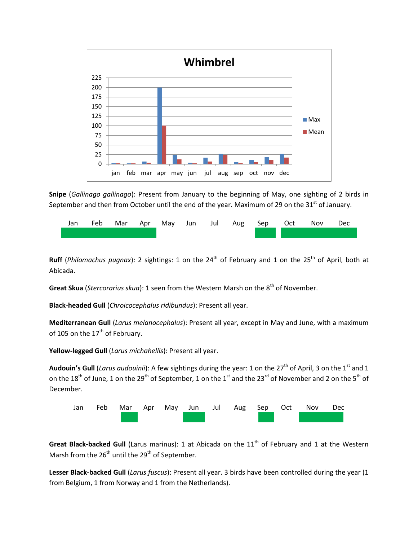

**Snipe** (*Gallinago gallinago*): Present from January to the beginning of May, one sighting of 2 birds in September and then from October until the end of the year. Maximum of 29 on the 31<sup>st</sup> of January.



**Ruff** (*Philomachus pugnax*): 2 sightings: 1 on the 24<sup>th</sup> of February and 1 on the 25<sup>th</sup> of April, both at Abicada.

**Great Skua** (*Stercorarius skua*): 1 seen from the Western Marsh on the 8<sup>th</sup> of November.

**Black-headed Gull** (*Chroicocephalus ridibundus*): Present all year.

**Mediterranean Gull** (*Larus melanocephalus*): Present all year, except in May and June, with a maximum of 105 on the 17<sup>th</sup> of February.

**Yellow-legged Gull** (*Larus michahellis*): Present all year.

Audouin's Gull (*Larus audouinii*): A few sightings during the year: 1 on the 27<sup>th</sup> of April, 3 on the 1<sup>st</sup> and 1 on the 18<sup>th</sup> of June, 1 on the 29<sup>th</sup> of September, 1 on the 1<sup>st</sup> and the 23<sup>rd</sup> of November and 2 on the 5<sup>th</sup> of December.



**Great Black-backed Gull** (Larus marinus): 1 at Abicada on the 11<sup>th</sup> of February and 1 at the Western Marsh from the  $26^{th}$  until the  $29^{th}$  of September.

**Lesser Black-backed Gull** (*Larus fuscus*): Present all year. 3 birds have been controlled during the year (1 from Belgium, 1 from Norway and 1 from the Netherlands).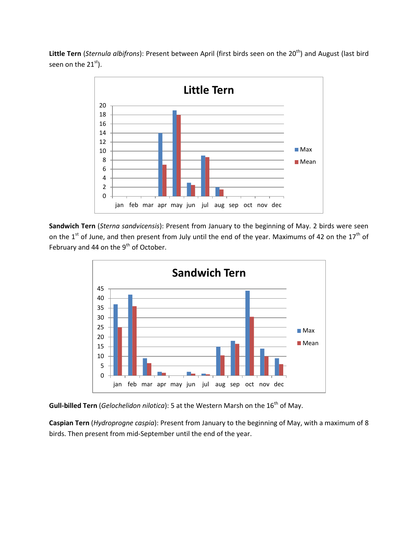Little Tern (*Sternula albifrons*): Present between April (first birds seen on the 20<sup>th</sup>) and August (last bird seen on the  $21<sup>st</sup>$ ).



**Sandwich Tern** (*Sterna sandvicensis*): Present from January to the beginning of May. 2 birds were seen on the  $1<sup>st</sup>$  of June, and then present from July until the end of the year. Maximums of 42 on the  $17<sup>th</sup>$  of February and 44 on the  $9<sup>th</sup>$  of October.



**Gull-billed Tern** (*Gelochelidon nilotica*): 5 at the Western Marsh on the 16<sup>th</sup> of May.

**Caspian Tern** (*Hydroprogne caspia*): Present from January to the beginning of May, with a maximum of 8 birds. Then present from mid-September until the end of the year.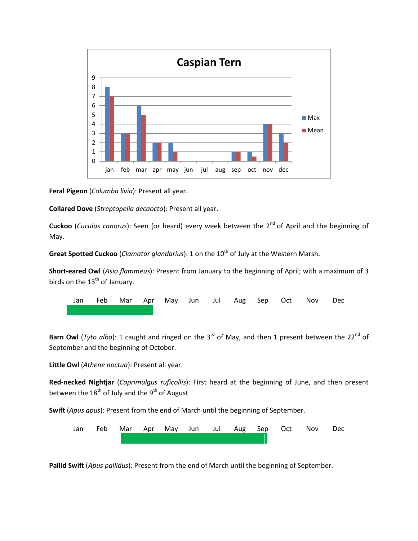

**Feral Pigeon** (*Columba livia*): Present all year.

**Collared Dove** (*Streptopelia decaocto*): Present all year.

**Cuckoo** (*Cuculus canorus*): Seen (or heard) every week between the 2<sup>nd</sup> of April and the beginning of May.

**Great Spotted Cuckoo** (*Clamator glandarius*): 1 on the 10<sup>th</sup> of July at the Western Marsh.

**Short-eared Owl** (*Asio flammeus*): Present from January to the beginning of April; with a maximum of 3 birds on the  $13<sup>th</sup>$  of January.

Jan Feb Mar Apr May Jun Jul Aug Sep Oct Nov Dec

**Barn Owl** (*Tyto alba*): 1 caught and ringed on the 3<sup>rd</sup> of May, and then 1 present between the 22<sup>nd</sup> of September and the beginning of October.

**Little Owl** (*Athene noctua*): Present all year.

**Red-necked Nightjar** (*Caprimulgus ruficollis*): First heard at the beginning of June, and then present between the  $18<sup>th</sup>$  of July and the  $9<sup>th</sup>$  of August

**Swift** (*Apus apus*): Present from the end of March until the beginning of September.



**Pallid Swift** (*Apus pallidus*): Present from the end of March until the beginning of September.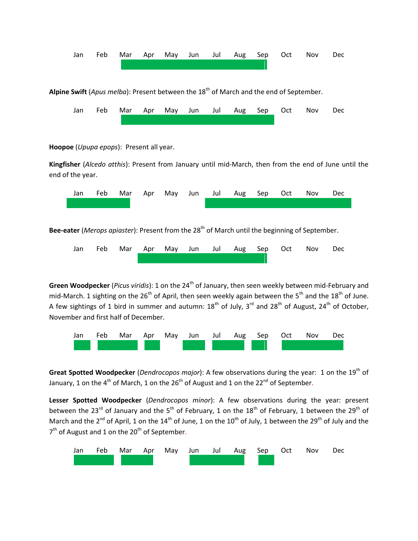

Alpine Swift (*Apus melba*): Present between the 18<sup>th</sup> of March and the end of September.



**Hoopoe** (*Upupa epops*): Present all year.

**Kingfisher** (*Alcedo atthis*): Present from January until mid-March, then from the end of June until the end of the year.



Bee-eater (*Merops apiaster*): Present from the 28<sup>th</sup> of March until the beginning of September.



**Green Woodpecker** (*Picus viridis*): 1 on the 24<sup>th</sup> of January, then seen weekly between mid-February and mid-March. 1 sighting on the 26<sup>th</sup> of April, then seen weekly again between the 5<sup>th</sup> and the 18<sup>th</sup> of June. A few sightings of 1 bird in summer and autumn:  $18^{th}$  of July,  $3^{rd}$  and  $28^{th}$  of August,  $24^{th}$  of October, November and first half of December.



Great Spotted Woodpecker (Dendrocopos major): A few observations during the year: 1 on the 19<sup>th</sup> of January, 1 on the 4<sup>th</sup> of March, 1 on the 26<sup>th</sup> of August and 1 on the 22<sup>nd</sup> of September.

**Lesser Spotted Woodpecker** (*Dendrocopos minor*): A few observations during the year: present between the 23<sup>rd</sup> of January and the 5<sup>th</sup> of February, 1 on the 18<sup>th</sup> of February, 1 between the 29<sup>th</sup> of March and the 2<sup>nd</sup> of April, 1 on the 14<sup>th</sup> of June, 1 on the 10<sup>th</sup> of July, 1 between the 29<sup>th</sup> of July and the 7<sup>th</sup> of August and 1 on the 20<sup>th</sup> of September.

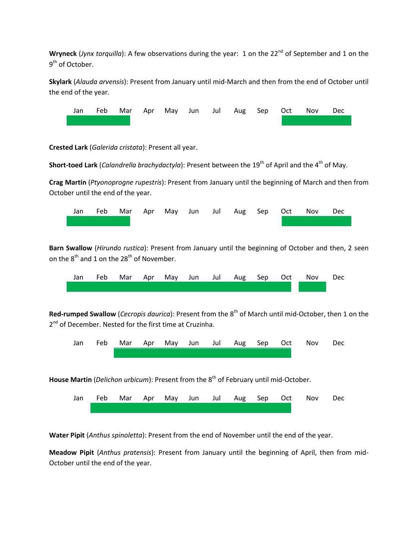**Wryneck** (*Jynx torquilla*): A few observations during the year: 1 on the 22<sup>nd</sup> of September and 1 on the 9<sup>th</sup> of October.

**Skylark** (*Alauda arvensis*): Present from January until mid-March and then from the end of October until the end of the year.



**Crested Lark** (*Galerida cristata*): Present all year.

**Short-toed Lark** (*Calandrella brachydactyla*): Present between the 19<sup>th</sup> of April and the 4<sup>th</sup> of May.

**Crag Martin** (*Ptyonoprogne rupestris*): Present from January until the beginning of March and then from October until the end of the year.



**Barn Swallow** (*Hirundo rustica*): Present from January until the beginning of October and then, 2 seen on the  $8<sup>th</sup>$  and 1 on the 2 $8<sup>th</sup>$  of November.



Red-rumped Swallow (*Cecropis daurica*): Present from the 8<sup>th</sup> of March until mid-October, then 1 on the 2<sup>nd</sup> of December. Nested for the first time at Cruzinha.



House Martin (*Delichon urbicum*): Present from the 8<sup>th</sup> of February until mid-October.



**Water Pipit** (*Anthus spinoletta*): Present from the end of November until the end of the year.

**Meadow Pipit** (*Anthus pratensis*): Present from January until the beginning of April, then from mid-October until the end of the year.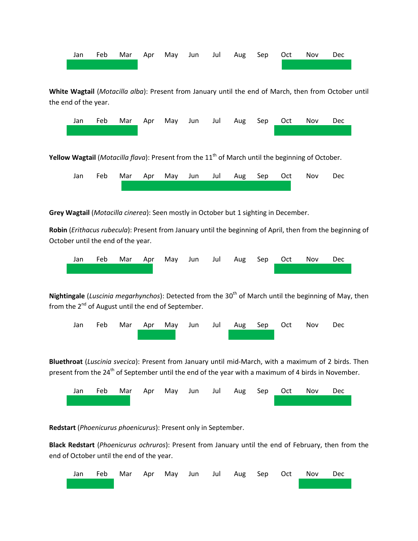

**White Wagtail** (*Motacilla alba*): Present from January until the end of March, then from October until the end of the year.



**Yellow Wagtail** (*Motacilla flava*): Present from the 11<sup>th</sup> of March until the beginning of October.

|  |  |  |  |  | Jan Feb Mar Apr May Jun Jul Aug Sep Oct Nov Dec |  |
|--|--|--|--|--|-------------------------------------------------|--|
|  |  |  |  |  |                                                 |  |

**Grey Wagtail** (*Motacilla cinerea*): Seen mostly in October but 1 sighting in December.

**Robin** (*Erithacus rubecula*): Present from January until the beginning of April, then from the beginning of October until the end of the year.



Nightingale (Luscinia megarhynchos): Detected from the 30<sup>th</sup> of March until the beginning of May, then from the 2<sup>nd</sup> of August until the end of September.



**Bluethroat** (*Luscinia svecica*): Present from January until mid-March, with a maximum of 2 birds. Then present from the  $24<sup>th</sup>$  of September until the end of the year with a maximum of 4 birds in November.



**Redstart** (*Phoenicurus phoenicurus*): Present only in September.

**Black Redstart** (*Phoenicurus ochruros*): Present from January until the end of February, then from the end of October until the end of the year.

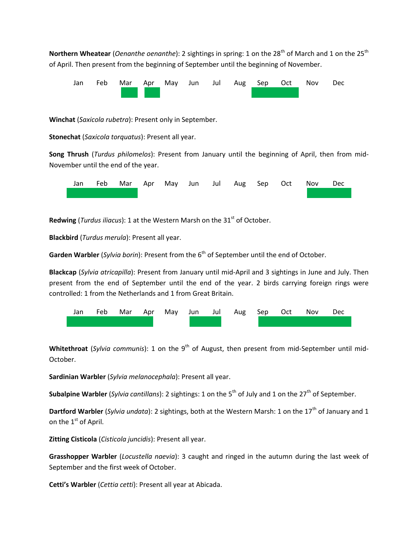**Northern Wheatear** (*Oenanthe oenanthe*): 2 sightings in spring: 1 on the 28<sup>th</sup> of March and 1 on the 25<sup>th</sup> of April. Then present from the beginning of September until the beginning of November.



**Winchat** (*Saxicola rubetra*): Present only in September.

**Stonechat** (*Saxicola torquatus*): Present all year.

**Song Thrush** (*Turdus philomelos*): Present from January until the beginning of April, then from mid-November until the end of the year.



Redwing (*Turdus iliacus*): 1 at the Western Marsh on the 31<sup>st</sup> of October.

**Blackbird** (*Turdus merula*): Present all year.

Garden Warbler (*Sylvia borin*): Present from the 6<sup>th</sup> of September until the end of October.

**Blackcap** (*Sylvia atricapilla*): Present from January until mid-April and 3 sightings in June and July. Then present from the end of September until the end of the year. 2 birds carrying foreign rings were controlled: 1 from the Netherlands and 1 from Great Britain.



**Whitethroat** (*Sylvia communis*): 1 on the 9<sup>th</sup> of August, then present from mid-September until mid-October.

**Sardinian Warbler** (*Sylvia melanocephala*): Present all year.

**Subalpine Warbler** (*Sylvia cantillans*): 2 sightings: 1 on the 5<sup>th</sup> of July and 1 on the 27<sup>th</sup> of September.

**Dartford Warbler** (*Sylvia undata*): 2 sightings, both at the Western Marsh: 1 on the 17<sup>th</sup> of January and 1 on the 1<sup>st</sup> of April.

**Zitting Cisticola** (*Cisticola juncidis*): Present all year.

**Grasshopper Warbler** (*Locustella naevia*): 3 caught and ringed in the autumn during the last week of September and the first week of October.

**Cetti's Warbler** (*Cettia cetti*): Present all year at Abicada.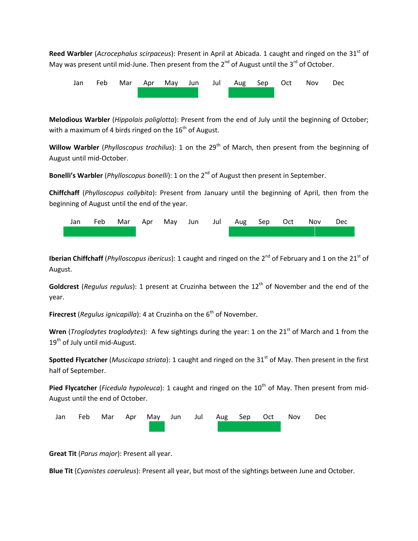**Reed Warbler** (*Acrocephalus scirpaceus*): Present in April at Abicada. 1 caught and ringed on the 31<sup>st</sup> of May was present until mid-June. Then present from the  $2^{nd}$  of August until the  $3^{rd}$  of October.



**Melodious Warbler** (*Hippolais poliglotta*): Present from the end of July until the beginning of October; with a maximum of 4 birds ringed on the  $16<sup>th</sup>$  of August.

Willow Warbler (*Phylloscopus trochilus*): 1 on the 29<sup>th</sup> of March, then present from the beginning of August until mid-October.

Bonelli's Warbler (*Phylloscopus bonelli*): 1 on the 2<sup>nd</sup> of August then present in September.

**Chiffchaff** (*Phylloscopus collybita*): Present from January until the beginning of April, then from the beginning of August until the end of the year.

|  |  |  |  |  | Jan Feb Mar Apr May Jun Jul Aug Sep Oct Nov Dec |  |
|--|--|--|--|--|-------------------------------------------------|--|
|  |  |  |  |  |                                                 |  |

**Iberian Chiffchaff** (*Phylloscopus ibericus*): 1 caught and ringed on the 2<sup>nd</sup> of February and 1 on the 21<sup>st</sup> of August.

**Goldcrest** (*Regulus regulus*): 1 present at Cruzinha between the 12<sup>th</sup> of November and the end of the year.

**Firecrest** (*Regulus ignicapilla*): 4 at Cruzinha on the 6<sup>th</sup> of November.

Wren (*Troglodytes troglodytes*): A few sightings during the year: 1 on the 21<sup>st</sup> of March and 1 from the  $19<sup>th</sup>$  of July until mid-August.

**Spotted Flycatcher** (*Muscicapa striata*): 1 caught and ringed on the 31<sup>st</sup> of May. Then present in the first half of September.

Pied Flycatcher (*Ficedula hypoleuca*): 1 caught and ringed on the 10<sup>th</sup> of May. Then present from mid-August until the end of October.



**Great Tit** (*Parus major*): Present all year.

**Blue Tit** (*Cyanistes caeruleus*): Present all year, but most of the sightings between June and October.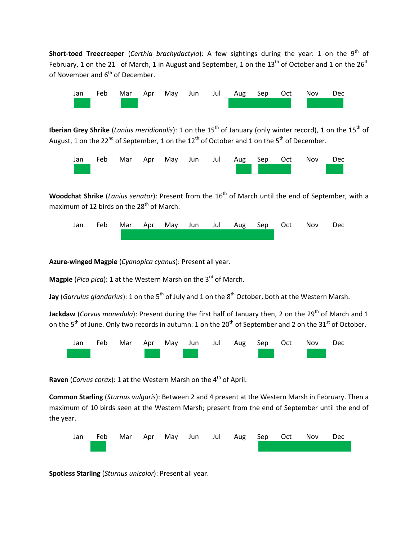**Short-toed Treecreeper** (*Certhia brachydactyla*): A few sightings during the year: 1 on the 9<sup>th</sup> of February, 1 on the 21<sup>st</sup> of March, 1 in August and September, 1 on the 13<sup>th</sup> of October and 1 on the 26<sup>th</sup> of November and  $6<sup>th</sup>$  of December.



**Iberian Grey Shrike** (*Lanius meridionalis*): 1 on the 15<sup>th</sup> of January (only winter record), 1 on the 15<sup>th</sup> of August, 1 on the 22<sup>nd</sup> of September, 1 on the 12<sup>th</sup> of October and 1 on the 5<sup>th</sup> of December.



**Woodchat Shrike** (*Lanius senator*): Present from the 16<sup>th</sup> of March until the end of September, with a maximum of 12 birds on the  $28<sup>th</sup>$  of March.



**Azure-winged Magpie** (*Cyanopica cyanus*): Present all year.

**Magpie** (*Pica pica*): 1 at the Western Marsh on the 3<sup>rd</sup> of March.

**Jay** (*Garrulus glandarius*): 1 on the 5<sup>th</sup> of July and 1 on the 8<sup>th</sup> October, both at the Western Marsh.

Jackdaw (Corvus monedula): Present during the first half of January then, 2 on the 29<sup>th</sup> of March and 1 on the 5<sup>th</sup> of June. Only two records in autumn: 1 on the 20<sup>th</sup> of September and 2 on the 31<sup>st</sup> of October.



Raven (*Corvus corax*): 1 at the Western Marsh on the 4<sup>th</sup> of April.

**Common Starling** (*Sturnus vulgaris*): Between 2 and 4 present at the Western Marsh in February. Then a maximum of 10 birds seen at the Western Marsh; present from the end of September until the end of the year.



**Spotless Starling** (*Sturnus unicolor*): Present all year.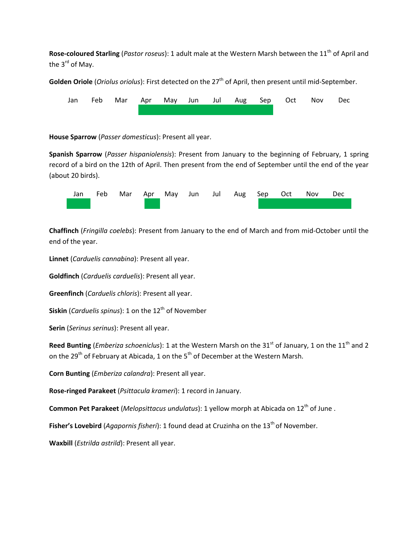**Rose-coloured Starling** (*Pastor roseus*): 1 adult male at the Western Marsh between the 11<sup>th</sup> of April and the  $3<sup>rd</sup>$  of May.

Golden Oriole (*Oriolus oriolus*): First detected on the 27<sup>th</sup> of April, then present until mid-September.



**House Sparrow** (*Passer domesticus*): Present all year.

**Spanish Sparrow** (*Passer hispaniolensis*): Present from January to the beginning of February, 1 spring record of a bird on the 12th of April. Then present from the end of September until the end of the year (about 20 birds).



**Chaffinch** (*Fringilla coelebs*): Present from January to the end of March and from mid-October until the end of the year.

**Linnet** (*Carduelis cannabina*): Present all year.

**Goldfinch** (*Carduelis carduelis*): Present all year.

**Greenfinch** (*Carduelis chloris*): Present all year.

**Siskin** (*Carduelis spinus*): 1 on the 12<sup>th</sup> of November

**Serin** (*Serinus serinus*): Present all year.

**Reed Bunting** (*Emberiza schoeniclus*): 1 at the Western Marsh on the 31<sup>st</sup> of January, 1 on the 11<sup>th</sup> and 2 on the 29<sup>th</sup> of February at Abicada, 1 on the 5<sup>th</sup> of December at the Western Marsh.

**Corn Bunting** (*Emberiza calandra*): Present all year.

**Rose-ringed Parakeet** (*Psittacula krameri*): 1 record in January.

**Common Pet Parakeet** (*Melopsittacus undulatus*): 1 yellow morph at Abicada on 12<sup>th</sup> of June .

**Fisher's Lovebird** (*Agapornis fisheri*): 1 found dead at Cruzinha on the 13<sup>th</sup> of November.

**Waxbill** (*Estrilda astrild*): Present all year.